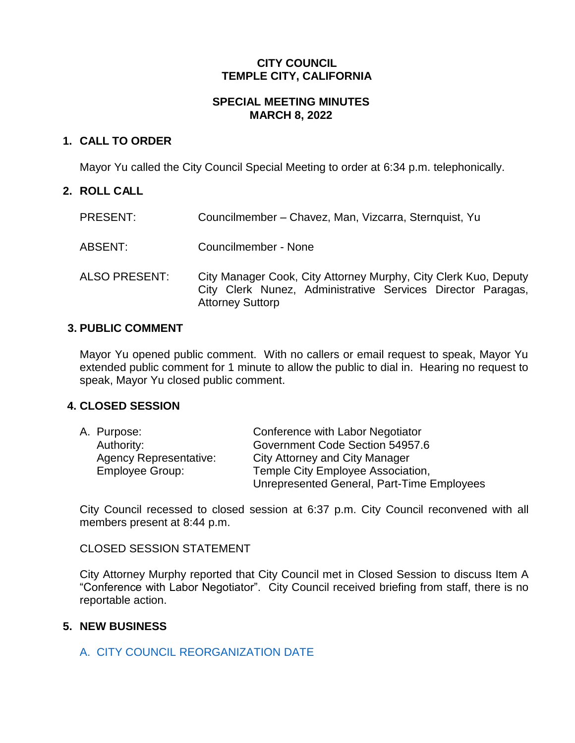### **CITY COUNCIL TEMPLE CITY, CALIFORNIA**

#### **SPECIAL MEETING MINUTES MARCH 8, 2022**

# **1. CALL TO ORDER**

Mayor Yu called the City Council Special Meeting to order at 6:34 p.m. telephonically.

# **2. ROLL CALL**

| PRESENT:             | Councilmember – Chavez, Man, Vizcarra, Sternquist, Yu                                                                                                     |
|----------------------|-----------------------------------------------------------------------------------------------------------------------------------------------------------|
| ABSENT:              | Councilmember - None                                                                                                                                      |
| <b>ALSO PRESENT:</b> | City Manager Cook, City Attorney Murphy, City Clerk Kuo, Deputy<br>City Clerk Nunez, Administrative Services Director Paragas,<br><b>Attorney Suttorp</b> |

#### **3. PUBLIC COMMENT**

Mayor Yu opened public comment. With no callers or email request to speak, Mayor Yu extended public comment for 1 minute to allow the public to dial in. Hearing no request to speak, Mayor Yu closed public comment.

#### **4. CLOSED SESSION**

| A. Purpose:                   | Conference with Labor Negotiator           |
|-------------------------------|--------------------------------------------|
| Authority:                    | Government Code Section 54957.6            |
| <b>Agency Representative:</b> | City Attorney and City Manager             |
| <b>Employee Group:</b>        | Temple City Employee Association,          |
|                               | Unrepresented General, Part-Time Employees |

City Council recessed to closed session at 6:37 p.m. City Council reconvened with all members present at 8:44 p.m.

#### CLOSED SESSION STATEMENT

City Attorney Murphy reported that City Council met in Closed Session to discuss Item A "Conference with Labor Negotiator". City Council received briefing from staff, there is no reportable action.

# **5. NEW BUSINESS**

# A. [CITY COUNCIL REORGANIZATION](https://www.ci.temple-city.ca.us/DocumentCenter/View/17561/Staff-Report_Rescheduling-Council-Reorganization_BC-Final) DATE